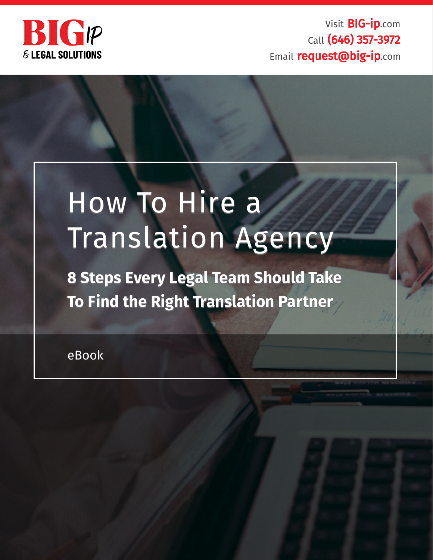

Visit BIG-ip.com Call (646) 357-3972 Email request@big-ip.com

# How To Hire a How To Hire a Translation Agency Translation Agency

**8 Steps Every Legal Team Should Take 8 Steps Every Legal Team Should Take To Find the Right Translation Partner To Find the Right Translation Partner**

eBook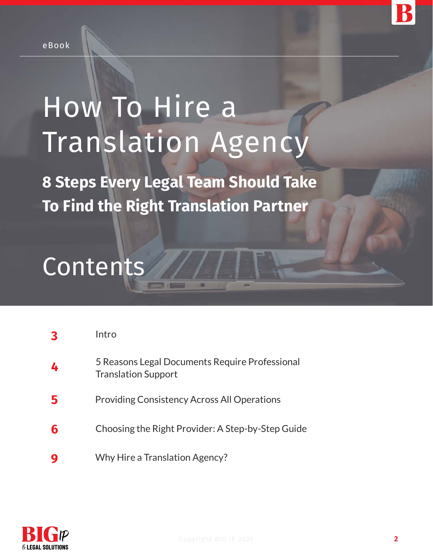

# How To Hire a Translation Agency

**8 Steps Every Legal Team Should Take To Find the Right Translation Partner**

# **Contents**

|   | Intro                                                                        |
|---|------------------------------------------------------------------------------|
| 4 | 5 Reasons Legal Documents Require Professional<br><b>Translation Support</b> |
|   | <b>Providing Consistency Across All Operations</b>                           |
| 6 | Choosing the Right Provider: A Step-by-Step Guide                            |
|   | Why Hire a Translation Agency?                                               |

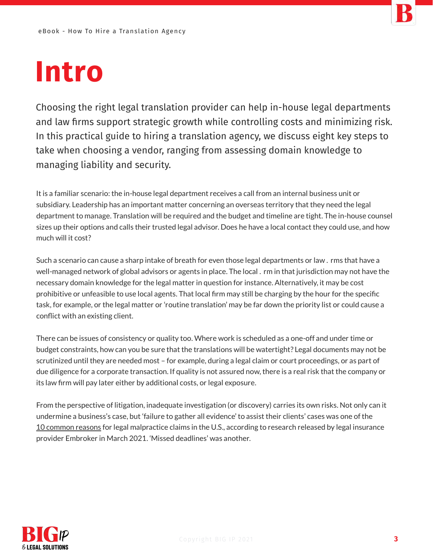# **Intro**

Choosing the right legal translation provider can help in-house legal departments and law firms support strategic growth while controlling costs and minimizing risk. In this practical guide to hiring a translation agency, we discuss eight key steps to take when choosing a vendor, ranging from assessing domain knowledge to managing liability and security.

It is a familiar scenario: the in-house legal department receives a call from an internal business unit or subsidiary. Leadership has an important matter concerning an overseas territory that they need the legal department to manage. Translation will be required and the budget and timeline are tight. The in-house counsel sizes up their options and calls their trusted legal advisor. Does he have a local contact they could use, and how much will it cost?

Such a scenario can cause a sharp intake of breath for even those legal departments or law. rms that have a well-managed network of global advisors or agents in place. The local . rm in that jurisdiction may not have the necessary domain knowledge for the legal matter in question for instance. Alternatively, it may be cost prohibitive or unfeasible to use local agents. That local firm may still be charging by the hour for the specific task, for example, or the legal matter or 'routine translation' may be far down the priority list or could cause a conflict with an existing client.

There can be issues of consistency or quality too. Where work is scheduled as a one-off and under time or budget constraints, how can you be sure that the translations will be watertight? Legal documents may not be scrutinized until they are needed most – for example, during a legal claim or court proceedings, or as part of due diligence for a corporate transaction. If quality is not assured now, there is a real risk that the company or its law firm will pay later either by additional costs, or legal exposure.

From the perspective of litigation, inadequate investigation (or discovery) carries its own risks. Not only can it undermine a business's case, but 'failure to gather all evidence' to assist their clients' cases was one of the [10 common reasons](https://www.embroker.com/blog/legal-malpractice-examples/) for legal malpractice claims in the U.S., according to research released by legal insurance provider Embroker in March 2021. 'Missed deadlines' was another.

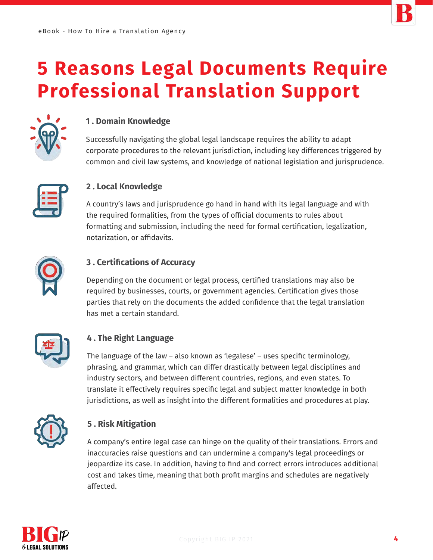

## **5 Reasons Legal Documents Require Professional Translation Support**



#### **1 . Domain Knowledge**

Successfully navigating the global legal landscape requires the ability to adapt corporate procedures to the relevant jurisdiction, including key differences triggered by common and civil law systems, and knowledge of national legislation and jurisprudence.



#### **2 . Local Knowledge**

A country's laws and jurisprudence go hand in hand with its legal language and with the required formalities, from the types of official documents to rules about formatting and submission, including the need for formal certification, legalization, notarization, or affidavits.



#### **3 . Certifications of Accuracy**

Depending on the document or legal process, certified translations may also be required by businesses, courts, or government agencies. Certification gives those parties that rely on the documents the added confidence that the legal translation has met a certain standard.



### **4 . The Right Language**

The language of the law – also known as 'legalese' – uses specific terminology, phrasing, and grammar, which can differ drastically between legal disciplines and industry sectors, and between different countries, regions, and even states. To translate it effectively requires specific legal and subject matter knowledge in both jurisdictions, as well as insight into the different formalities and procedures at play.



### **5 . Risk Mitigation**

A company's entire legal case can hinge on the quality of their translations. Errors and inaccuracies raise questions and can undermine a company's legal proceedings or jeopardize its case. In addition, having to find and correct errors introduces additional cost and takes time, meaning that both profit margins and schedules are negatively affected.

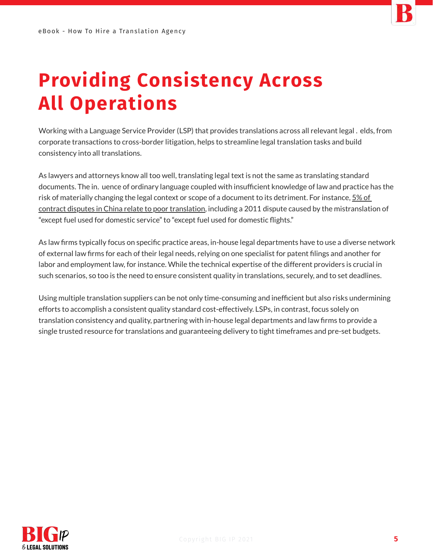

# **Providing Consistency Across All Operations**

Working with a Language Service Provider (LSP) that provides translations across all relevant legal elds, from corporate transactions to cross-border litigation, helps to streamline legal translation tasks and build consistency into all translations.

As lawyers and attorneys know all too well, translating legal text is not the same as translating standard documents. The in. uence of ordinary language coupled with insufficient knowledge of law and practice has the risk of materially changing the legal context or scope of a document to its detriment. For instance, 5% of [contract disputes in China relate to poor translation, including a 2011 dispute caused by the mistranslati](http://usa.chinadaily.com.cn/epaper/2012-03/23/content_14898771.htm)on of "except fuel used for domestic service" to "except fuel used for domestic flights."

As law firms typically focus on specific practice areas, in-house legal departments have to use a diverse network of external law firms for each of their legal needs, relying on one specialist for patent filings and another for labor and employment law, for instance. While the technical expertise of the different providers is crucial in such scenarios, so too is the need to ensure consistent quality in translations, securely, and to set deadlines.

Using multiple translation suppliers can be not only time-consuming and inefficient but also risks undermining efforts to accomplish a consistent quality standard cost-effectively. LSPs, in contrast, focus solely on translation consistency and quality, partnering with in-house legal departments and law firms to provide a single trusted resource for translations and guaranteeing delivery to tight timeframes and pre-set budgets.

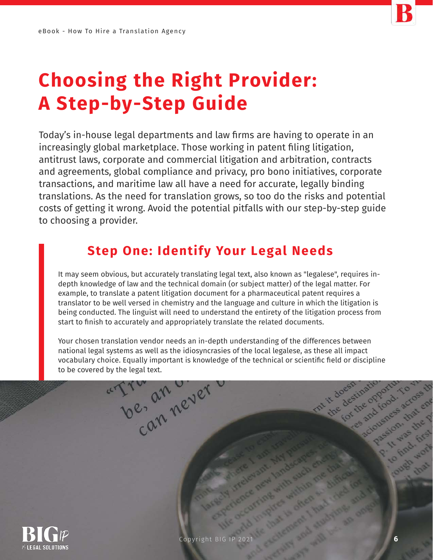

# **Choosing the Right Provider: A Step-by-Step Guide**

Today's in-house legal departments and law firms are having to operate in an increasingly global marketplace. Those working in patent filing litigation, antitrust laws, corporate and commercial litigation and arbitration, contracts and agreements, global compliance and privacy, pro bono initiatives, corporate transactions, and maritime law all have a need for accurate, legally binding translations. As the need for translation grows, so too do the risks and potential costs of getting it wrong. Avoid the potential pitfalls with our step-by-step guide to choosing a provider.

## **Step One: Identify Your Legal Needs**

It may seem obvious, but accurately translating legal text, also known as "legalese", requires indepth knowledge of law and the technical domain (or subject matter) of the legal matter. For example, to translate a patent litigation document for a pharmaceutical patent requires a translator to be well versed in chemistry and the language and culture in which the litigation is being conducted. The linguist will need to understand the entirety of the litigation process from start to finish to accurately and appropriately translate the related documents.

Your chosen translation vendor needs an in-depth understanding of the differences between national legal systems as well as the idiosyncrasies of the local legalese, as these all impact vocabulary choice. Equally important is knowledge of the technical or scientific field or discipline to be covered by the legal text.

be-an never



Househouse

**6**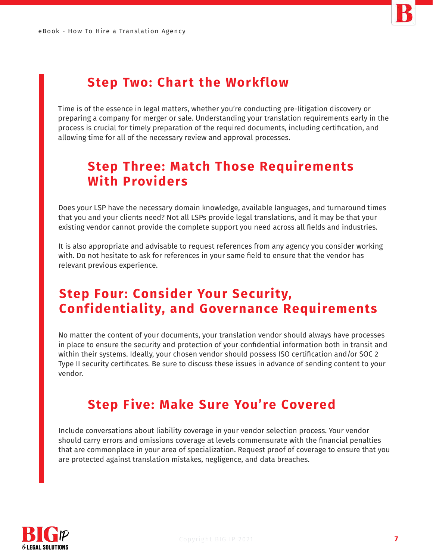

## **Step Two: Chart the Workflow**

Time is of the essence in legal matters, whether you're conducting pre-litigation discovery or preparing a company for merger or sale. Understanding your translation requirements early in the process is crucial for timely preparation of the required documents, including certification, and allowing time for all of the necessary review and approval processes.

## **Step Three: Match Those Requirements With Providers**

Does your LSP have the necessary domain knowledge, available languages, and turnaround times that you and your clients need? Not all LSPs provide legal translations, and it may be that your existing vendor cannot provide the complete support you need across all fields and industries.

It is also appropriate and advisable to request references from any agency you consider working with. Do not hesitate to ask for references in your same field to ensure that the vendor has relevant previous experience.

## **Step Four: Consider Your Security, Confidentiality, and Governance Requirements**

No matter the content of your documents, your translation vendor should always have processes in place to ensure the security and protection of your confidential information both in transit and within their systems. Ideally, your chosen vendor should possess ISO certification and/or SOC 2 Type II security certificates. Be sure to discuss these issues in advance of sending content to your vendor.

### **Step Five: Make Sure You're Covered**

Include conversations about liability coverage in your vendor selection process. Your vendor should carry errors and omissions coverage at levels commensurate with the financial penalties that are commonplace in your area of specialization. Request proof of coverage to ensure that you are protected against translation mistakes, negligence, and data breaches.

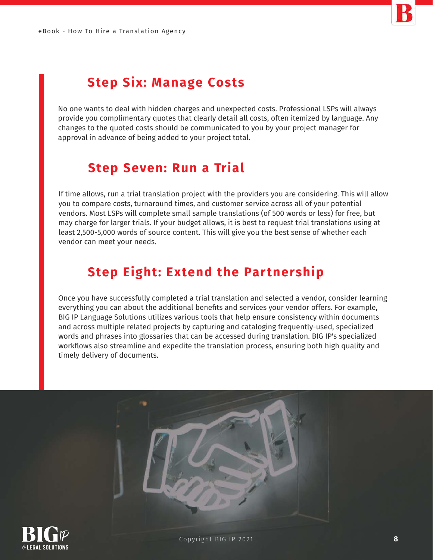

## **Step Six: Manage Costs**

No one wants to deal with hidden charges and unexpected costs. Professional LSPs will always provide you complimentary quotes that clearly detail all costs, often itemized by language. Any changes to the quoted costs should be communicated to you by your project manager for approval in advance of being added to your project total.

### **Step Seven: Run a Trial**

If time allows, run a trial translation project with the providers you are considering. This will allow you to compare costs, turnaround times, and customer service across all of your potential vendors. Most LSPs will complete small sample translations (of 500 words or less) for free, but may charge for larger trials. If your budget allows, it is best to request trial translations using at least 2,500-5,000 words of source content. This will give you the best sense of whether each vendor can meet your needs.

## **Step Eight: Extend the Partnership**

Once you have successfully completed a trial translation and selected a vendor, consider learning everything you can about the additional benefits and services your vendor offers. For example, BIG IP Language Solutions utilizes various tools that help ensure consistency within documents and across multiple related projects by capturing and cataloging frequently-used, specialized words and phrases into glossaries that can be accessed during translation. BIG IP's specialized workflows also streamline and expedite the translation process, ensuring both high quality and timely delivery of documents.

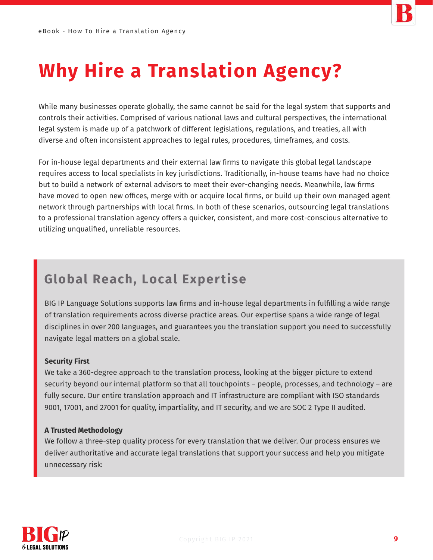

## **Why Hire a Translation Agency?**

While many businesses operate globally, the same cannot be said for the legal system that supports and controls their activities. Comprised of various national laws and cultural perspectives, the international legal system is made up of a patchwork of different legislations, regulations, and treaties, all with diverse and often inconsistent approaches to legal rules, procedures, timeframes, and costs.

For in-house legal departments and their external law firms to navigate this global legal landscape requires access to local specialists in key jurisdictions. Traditionally, in-house teams have had no choice but to build a network of external advisors to meet their ever-changing needs. Meanwhile, law firms have moved to open new offices, merge with or acquire local firms, or build up their own managed agent network through partnerships with local firms. In both of these scenarios, outsourcing legal translations to a professional translation agency offers a quicker, consistent, and more cost-conscious alternative to utilizing unqualified, unreliable resources.

## **Global Reach, Local Expertise**

BIG IP Language Solutions supports law firms and in-house legal departments in fulfilling a wide range of translation requirements across diverse practice areas. Our expertise spans a wide range of legal disciplines in over 200 languages, and guarantees you the translation support you need to successfully navigate legal matters on a global scale.

#### **Security First**

We take a 360-degree approach to the translation process, looking at the bigger picture to extend security beyond our internal platform so that all touchpoints – people, processes, and technology – are fully secure. Our entire translation approach and IT infrastructure are compliant with ISO standards 9001, 17001, and 27001 for quality, impartiality, and IT security, and we are SOC 2 Type II audited.

#### **A Trusted Methodology**

We follow a three-step quality process for every translation that we deliver. Our process ensures we deliver authoritative and accurate legal translations that support your success and help you mitigate unnecessary risk: